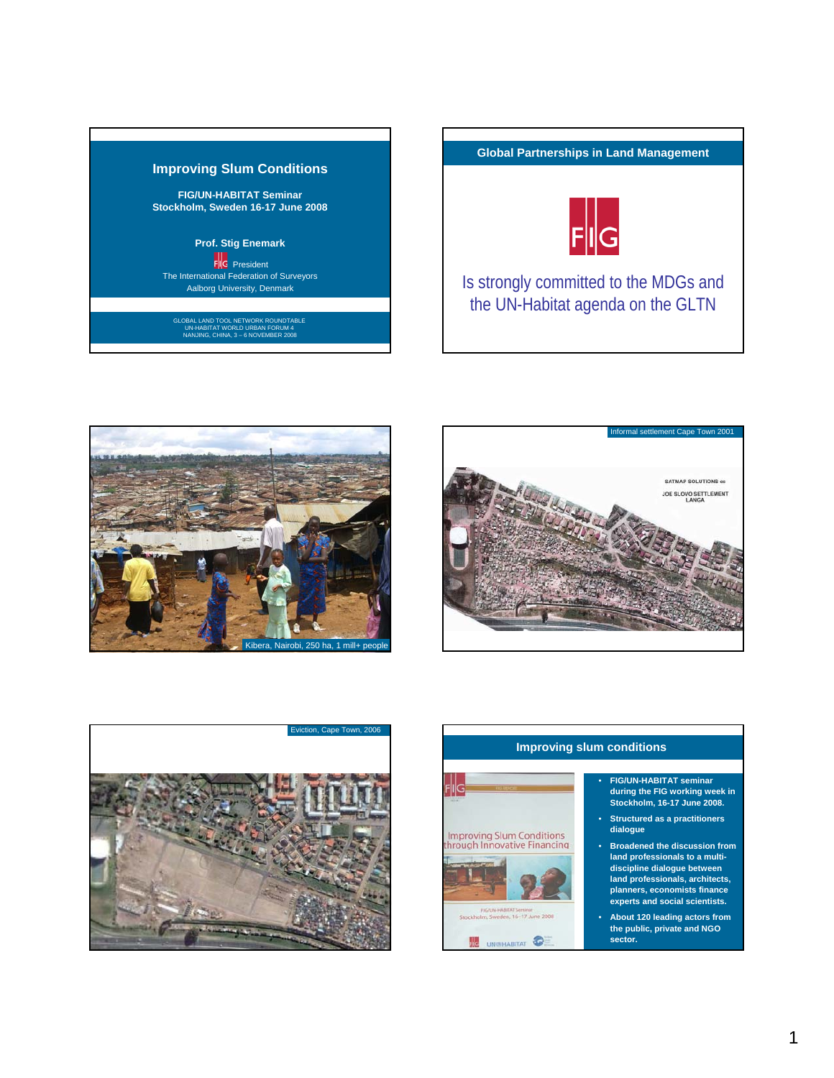



Is strongly committed to the MDGs and the UN-Habitat agenda on the GLTN







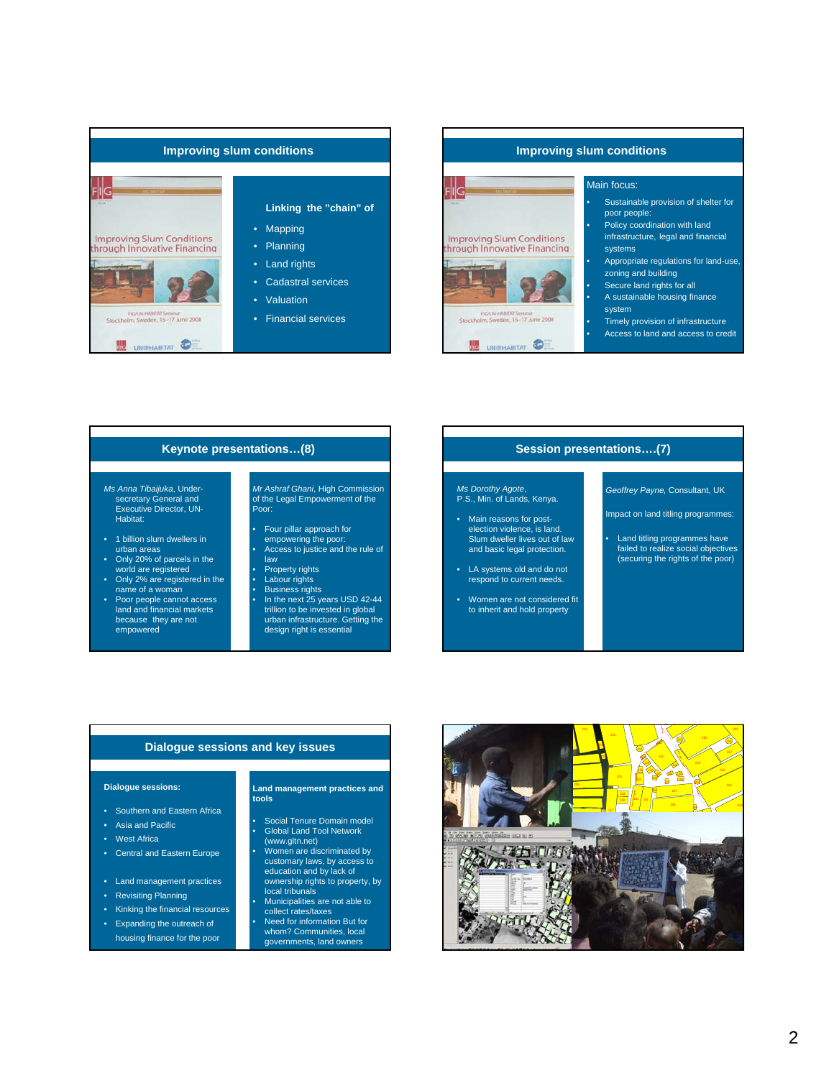



# **Keynote presentations…(8)**

*Ms Anna Tibaijuka*, Undersecretary General and Executive Director, UN-Habitat:

- 1 billion slum dwellers in urban areas
- Only 20% of parcels in the world are registered • Only 2% are registered in the
- name of a woman Poor people cannot access

land and financial markets because they are not empowered

## *Mr Ashraf Ghani*, High Commission of the Legal Empowerment of the Poor:

- Four pillar approach for
- empowering the poor: Access to justice and the rule of law
- Property rights
- Labour rights
- 
- Business rights In the next 25 years USD 42-44 trillion to be invested in global urban infrastructure. Getting the design right is essential

# **Session presentations….(7)**

*Ms Dorothy Agote*, P.S., Min. of Lands, Kenya.

- Main reasons for post-election violence, is land. Slum dweller lives out of law and basic legal protection.
- LA systems old and do not respond to current needs.
- Women are not considered fit to inherit and hold property

*Geoffrey Payne,* Consultant, UK

- Impact on land titling programmes:
- Land titling programmes have failed to realize social objectives (securing the rights of the poor)

# **Dialogue sessions and key issues**

## **Dialogue sessions:**

- Southern and Eastern Africa
- Asia and Pacific
- West Africa
- Central and Eastern Europe
- Land management practices
- Revisiting Planning
- Kinking the financial resources
- Expanding the outreach of housing finance for the poor

## **Land management practices and tools**

- Social Tenure Domain model Global Land Tool Network
- (www.gltn.net) Women are discriminated by
- customary laws, by access to education and by lack of ownership rights to property, by local tribunals
- Municipalities are not able to collect rates/taxes • Need for information But for
- whom? Communities, local governments, land owners